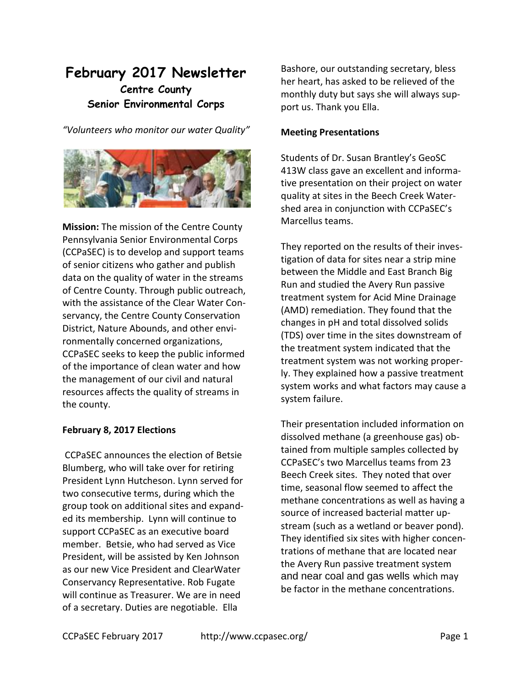# **February 2017 Newsletter Centre County Senior Environmental Corps**

*"Volunteers who monitor our water Quality"*



**Mission:** The mission of the Centre County Pennsylvania Senior Environmental Corps (CCPaSEC) is to develop and support teams of senior citizens who gather and publish data on the quality of water in the streams of Centre County. Through public outreach, with the assistance of the Clear Water Conservancy, the Centre County Conservation District, Nature Abounds, and other environmentally concerned organizations, CCPaSEC seeks to keep the public informed of the importance of clean water and how the management of our civil and natural resources affects the quality of streams in the county.

## **February 8, 2017 Elections**

CCPaSEC announces the election of Betsie Blumberg, who will take over for retiring President Lynn Hutcheson. Lynn served for two consecutive terms, during which the group took on additional sites and expanded its membership. Lynn will continue to support CCPaSEC as an executive board member. Betsie, who had served as Vice President, will be assisted by Ken Johnson as our new Vice President and ClearWater Conservancy Representative. Rob Fugate will continue as Treasurer. We are in need of a secretary. Duties are negotiable. Ella

Bashore, our outstanding secretary, bless her heart, has asked to be relieved of the monthly duty but says she will always support us. Thank you Ella.

## **Meeting Presentations**

Students of Dr. Susan Brantley's GeoSC 413W class gave an excellent and informative presentation on their project on water quality at sites in the Beech Creek Watershed area in conjunction with CCPaSEC's Marcellus teams.

They reported on the results of their investigation of data for sites near a strip mine between the Middle and East Branch Big Run and studied the Avery Run passive treatment system for Acid Mine Drainage (AMD) remediation. They found that the changes in pH and total dissolved solids (TDS) over time in the sites downstream of the treatment system indicated that the treatment system was not working properly. They explained how a passive treatment system works and what factors may cause a system failure.

Their presentation included information on dissolved methane (a greenhouse gas) obtained from multiple samples collected by CCPaSEC's two Marcellus teams from 23 Beech Creek sites. They noted that over time, seasonal flow seemed to affect the methane concentrations as well as having a source of increased bacterial matter upstream (such as a wetland or beaver pond). They identified six sites with higher concentrations of methane that are located near the Avery Run passive treatment system and near coal and gas wells which may be factor in the methane concentrations.